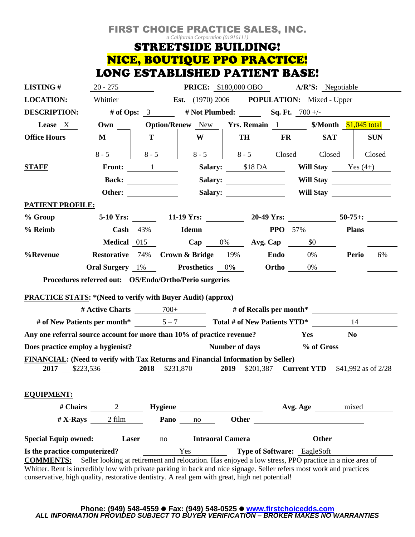## FIRST CHOICE PRACTICE SALES, INC. *a California Corporation (01916111)* **STREETSIDE BUILDING!** NICE, BOUTIQUE PPO PRACTICE! LONG ESTABLISHED PATIENT BASE!

| <b>LISTING#</b>                                                                                                                                                                                                                                                                                                                                    | $20 - 275$                                                                               |                                                            |                                               | <b>PRICE:</b> \$180,000 OBO A/R'S: Negotiable                                         |                   |                             |                                                              |  |  |
|----------------------------------------------------------------------------------------------------------------------------------------------------------------------------------------------------------------------------------------------------------------------------------------------------------------------------------------------------|------------------------------------------------------------------------------------------|------------------------------------------------------------|-----------------------------------------------|---------------------------------------------------------------------------------------|-------------------|-----------------------------|--------------------------------------------------------------|--|--|
| <b>LOCATION:</b>                                                                                                                                                                                                                                                                                                                                   | Whittier                                                                                 | <b>Est.</b> $(1970)$ 2006 <b>POPULATION:</b> Mixed - Upper |                                               |                                                                                       |                   |                             |                                                              |  |  |
| <b>DESCRIPTION:</b>                                                                                                                                                                                                                                                                                                                                |                                                                                          | # of Ops: $3$                                              |                                               | # Not Plumbed: Sq. Ft. $700 +/-$                                                      |                   |                             |                                                              |  |  |
| Lease X                                                                                                                                                                                                                                                                                                                                            | Own                                                                                      |                                                            | <b>Option/Renew</b> New <b>Yrs. Remain</b> 1  |                                                                                       |                   |                             | $Month$ $$1,045$ total                                       |  |  |
| <b>Office Hours</b>                                                                                                                                                                                                                                                                                                                                | M                                                                                        | T                                                          | W                                             | <b>TH</b>                                                                             | FR                | <b>SAT</b>                  | <b>SUN</b>                                                   |  |  |
|                                                                                                                                                                                                                                                                                                                                                    | $8 - 5$                                                                                  | $8 - 5$                                                    | $8 - 5$                                       | $\begin{array}{ c c c c c } \hline 8 & -5 & \quad \text{Closed} \ \hline \end{array}$ |                   | Closed                      | Closed                                                       |  |  |
| <b>STAFF</b>                                                                                                                                                                                                                                                                                                                                       |                                                                                          | Front: 1                                                   |                                               | Salary: \$18 DA                                                                       |                   | <b>Will Stay</b> Yes $(4+)$ |                                                              |  |  |
|                                                                                                                                                                                                                                                                                                                                                    | <b>Back:</b>                                                                             |                                                            |                                               |                                                                                       |                   |                             | Will Stay                                                    |  |  |
|                                                                                                                                                                                                                                                                                                                                                    | Other:                                                                                   |                                                            |                                               |                                                                                       |                   |                             | Will Stay                                                    |  |  |
| <b>PATIENT PROFILE:</b>                                                                                                                                                                                                                                                                                                                            |                                                                                          |                                                            |                                               |                                                                                       |                   |                             |                                                              |  |  |
| % Group                                                                                                                                                                                                                                                                                                                                            |                                                                                          |                                                            | $5-10$ Yrs: $11-19$ Yrs:                      |                                                                                       |                   |                             | 20-49 Yrs: $\frac{50-75}{1}$                                 |  |  |
| % Reimb                                                                                                                                                                                                                                                                                                                                            |                                                                                          | Cash $43\%$                                                | Idemn                                         |                                                                                       | <b>PPO</b> $57\%$ |                             | <b>Plans</b>                                                 |  |  |
|                                                                                                                                                                                                                                                                                                                                                    | <b>Medical</b> 015                                                                       |                                                            |                                               | Cap $0\%$ Avg. Cap $$0$                                                               |                   |                             |                                                              |  |  |
| %Revenue                                                                                                                                                                                                                                                                                                                                           |                                                                                          |                                                            | <b>Restorative 74% Crown &amp; Bridge 19%</b> |                                                                                       | Endo $0\%$        |                             | <b>Perio</b> 6%                                              |  |  |
|                                                                                                                                                                                                                                                                                                                                                    | <b>Oral Surgery</b> 1%                                                                   |                                                            | <b>Prosthetics</b> 0%                         |                                                                                       | <b>Ortho</b> 0%   |                             |                                                              |  |  |
| Procedures referred out: OS/Endo/Ortho/Perio surgeries                                                                                                                                                                                                                                                                                             |                                                                                          |                                                            |                                               |                                                                                       |                   |                             |                                                              |  |  |
| <b>PRACTICE STATS:</b> *(Need to verify with Buyer Audit) (approx)                                                                                                                                                                                                                                                                                 |                                                                                          |                                                            |                                               |                                                                                       |                   |                             |                                                              |  |  |
| # Active Charts $\frac{700+}{4}$ # of Recalls per month*                                                                                                                                                                                                                                                                                           |                                                                                          |                                                            |                                               |                                                                                       |                   |                             |                                                              |  |  |
| # of New Patients per month* $5-7$ Total # of New Patients YTD*                                                                                                                                                                                                                                                                                    |                                                                                          |                                                            |                                               |                                                                                       |                   |                             | 14                                                           |  |  |
| Any one referral source account for more than 10% of practice revenue?                                                                                                                                                                                                                                                                             |                                                                                          |                                                            |                                               |                                                                                       | Yes               | N <sub>0</sub>              |                                                              |  |  |
| Does practice employ a hygienist?                                                                                                                                                                                                                                                                                                                  |                                                                                          | Number of days ________ % of Gross                         |                                               |                                                                                       |                   |                             |                                                              |  |  |
| <b>FINANCIAL:</b> (Need to verify with Tax Returns and Financial Information by Seller)                                                                                                                                                                                                                                                            |                                                                                          |                                                            |                                               |                                                                                       |                   |                             |                                                              |  |  |
| 2017                                                                                                                                                                                                                                                                                                                                               | \$223,536                                                                                |                                                            | 2018 \$231,870                                |                                                                                       |                   |                             | <b>2019</b> \$201,387 <b>Current YTD</b> \$41,992 as of 2/28 |  |  |
|                                                                                                                                                                                                                                                                                                                                                    |                                                                                          |                                                            |                                               |                                                                                       |                   |                             |                                                              |  |  |
| <b>EQUIPMENT:</b>                                                                                                                                                                                                                                                                                                                                  |                                                                                          |                                                            |                                               |                                                                                       |                   |                             |                                                              |  |  |
|                                                                                                                                                                                                                                                                                                                                                    | # Chairs 2 Hygiene Avg. Age mixed<br># X-Rays 2 film <b>Pano</b> no Other Avg. Age mixed |                                                            |                                               |                                                                                       |                   |                             |                                                              |  |  |
|                                                                                                                                                                                                                                                                                                                                                    | $# X-Rays$ 2 film                                                                        |                                                            |                                               |                                                                                       |                   |                             |                                                              |  |  |
| <b>Special Equip owned:</b>                                                                                                                                                                                                                                                                                                                        |                                                                                          |                                                            | Laser no Intraoral Camera                     |                                                                                       |                   | <b>Other</b>                |                                                              |  |  |
| Is the practice computerized?                                                                                                                                                                                                                                                                                                                      |                                                                                          | <b>Type of Software:</b> EagleSoft<br>Yes                  |                                               |                                                                                       |                   |                             |                                                              |  |  |
| Seller looking at retirement and relocation. Has enjoyed a low stress, PPO practice in a nice area of<br><b>COMMENTS:</b><br>Whitter. Rent is incredibly low with private parking in back and nice signage. Seller refers most work and practices<br>conservative, high quality, restorative dentistry. A real gem with great, high net potential! |                                                                                          |                                                            |                                               |                                                                                       |                   |                             |                                                              |  |  |